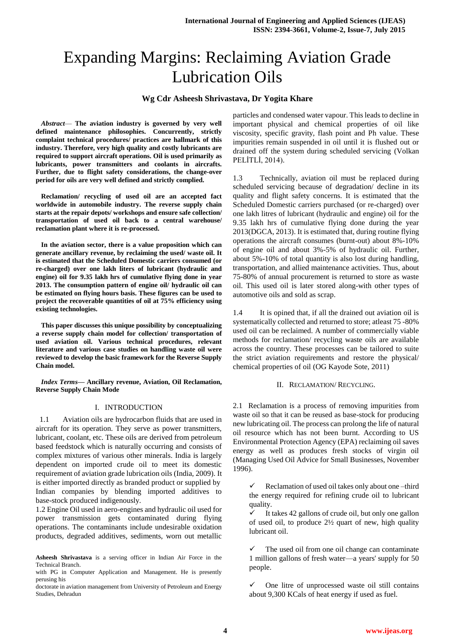# Expanding Margins: Reclaiming Aviation Grade Lubrication Oils

# **Wg Cdr Asheesh Shrivastava, Dr Yogita Khare**

*Abstract*— **The aviation industry is governed by very well defined maintenance philosophies. Concurrently, strictly complaint technical procedures/ practices are hallmark of this industry. Therefore, very high quality and costly lubricants are required to support aircraft operations. Oil is used primarily as lubricants, power transmitters and coolants in aircrafts. Further, due to flight safety considerations, the change-over period for oils are very well defined and strictly complied.** 

**Reclamation/ recycling of used oil are an accepted fact worldwide in automobile industry. The reverse supply chain starts at the repair depots/ workshops and ensure safe collection/ transportation of used oil back to a central warehouse/ reclamation plant where it is re-processed.** 

**In the aviation sector, there is a value proposition which can generate ancillary revenue, by reclaiming the used/ waste oil. It is estimated that the Scheduled Domestic carriers consumed (or re-charged) over one lakh liters of lubricant (hydraulic and engine) oil for 9.35 lakh hrs of cumulative flying done in year 2013. The consumption pattern of engine oil/ hydraulic oil can be estimated on flying hours basis. These figures can be used to project the recoverable quantities of oil at 75% efficiency using existing technologies.**

**This paper discusses this unique possibility by conceptualizing a reverse supply chain model for collection/ transportation of used aviation oil. Various technical procedures, relevant literature and various case studies on handling waste oil were reviewed to develop the basic framework for the Reverse Supply Chain model.**

*Index Terms***— Ancillary revenue, Aviation, Oil Reclamation, Reverse Supply Chain Mode**

#### I. INTRODUCTION

 1.1 Aviation oils are hydrocarbon fluids that are used in aircraft for its operation. They serve as power transmitters, lubricant, coolant, etc. These oils are derived from petroleum based feedstock which is naturally occurring and consists of complex mixtures of various other minerals. India is largely dependent on imported crude oil to meet its domestic requirement of aviation grade lubrication oils (India, 2009). It is either imported directly as branded product or supplied by Indian companies by blending imported additives to base-stock produced indigenously.

1.2 Engine Oil used in aero-engines and hydraulic oil used for power transmission gets contaminated during flying operations. The contaminants include undesirable oxidation products, degraded additives, sediments, worn out metallic

**Asheesh Shrivastava** is a serving officer in Indian Air Force in the Technical Branch.

with PG in Computer Application and Management. He is presently perusing his

doctorate in aviation management from University of Petroleum and Energy Studies, Dehradun

particles and condensed water vapour. This leads to decline in important physical and chemical properties of oil like viscosity, specific gravity, flash point and Ph value. These impurities remain suspended in oil until it is flushed out or drained off the system during scheduled servicing (Volkan PELİTLİ, 2014).

1.3 Technically, aviation oil must be replaced during scheduled servicing because of degradation/ decline in its quality and flight safety concerns. It is estimated that the Scheduled Domestic carriers purchased (or re-charged) over one lakh litres of lubricant (hydraulic and engine) oil for the 9.35 lakh hrs of cumulative flying done during the year 2013(DGCA, 2013). It is estimated that, during routine flying operations the aircraft consumes (burnt-out) about 8%-10% of engine oil and about 3%-5% of hydraulic oil. Further, about 5%-10% of total quantity is also lost during handling, transportation, and allied maintenance activities. Thus, about 75-80% of annual procurement is returned to store as waste oil. This used oil is later stored along-with other types of automotive oils and sold as scrap.

1.4 It is opined that, if all the drained out aviation oil is systematically collected and returned to store; atleast 75 -80% used oil can be reclaimed. A number of commercially viable methods for reclamation/ recycling waste oils are available across the country. These processes can be tailored to suite the strict aviation requirements and restore the physical/ chemical properties of oil (OG Kayode Sote, 2011)

# II. RECLAMATION/ RECYCLING.

2.1 Reclamation is a process of removing impurities from waste oil so that it can be reused as base-stock for producing new lubricating oil. The process can prolong the life of natural oil resource which has not been burnt. According to US Environmental Protection Agency (EPA) reclaiming oil saves energy as well as produces fresh stocks of virgin oil (Managing Used Oil Advice for Small Businesses, November 1996).

 Reclamation of used oil takes only about one –third the energy required for refining crude oil to lubricant quality.

 It takes 42 gallons of crude oil, but only one gallon of used oil, to produce 2½ quart of new, high quality lubricant oil.

 The used oil from one oil change can contaminate 1 million gallons of fresh water—a years' supply for 50 people.

 One litre of unprocessed waste oil still contains about 9,300 KCals of heat energy if used as fuel.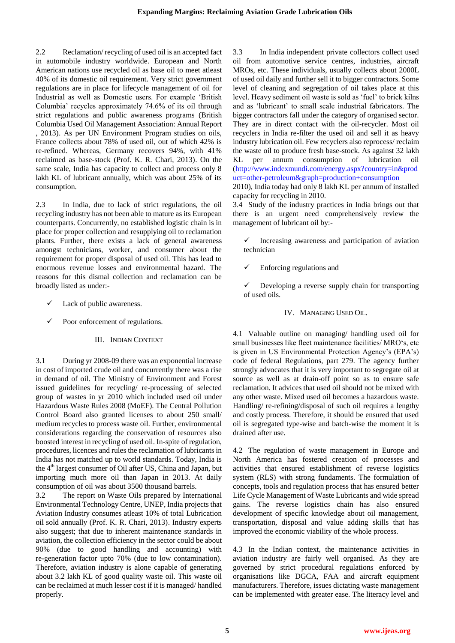2.2 Reclamation/ recycling of used oil is an accepted fact in automobile industry worldwide. European and North American nations use recycled oil as base oil to meet atleast 40% of its domestic oil requirement. Very strict government regulations are in place for lifecycle management of oil for Industrial as well as Domestic users. For example 'British Columbia' recycles approximately 74.6% of its oil through strict regulations and public awareness programs (British Columbia Used Oil Management Association: Annual Report , 2013). As per UN Environment Program studies on oils, France collects about 78% of used oil, out of which 42% is re-refined. Whereas, Germany recovers 94%, with 41% reclaimed as base-stock (Prof. K. R. Chari, 2013). On the same scale, India has capacity to collect and process only 8 lakh KL of lubricant annually, which was about 25% of its consumption.

2.3 In India, due to lack of strict regulations, the oil recycling industry has not been able to mature as its European counterparts. Concurrently, no established logistic chain is in place for proper collection and resupplying oil to reclamation plants. Further, there exists a lack of general awareness amongst technicians, worker, and consumer about the requirement for proper disposal of used oil. This has lead to enormous revenue losses and environmental hazard. The reasons for this dismal collection and reclamation can be broadly listed as under:-

- Lack of public awareness.
- Poor enforcement of regulations.

#### III. INDIAN CONTEXT

3.1 During yr 2008-09 there was an exponential increase in cost of imported crude oil and concurrently there was a rise in demand of oil. The Ministry of Environment and Forest issued guidelines for recycling/ re-processing of selected group of wastes in yr 2010 which included used oil under Hazardous Waste Rules 2008 (MoEF). The Central Pollution Control Board also granted licenses to about 250 small/ medium recycles to process waste oil. Further, environmental considerations regarding the conservation of resources also boosted interest in recycling of used oil. In-spite of regulation, procedures, licences and rules the reclamation of lubricants in India has not matched up to world standards. Today, India is the 4<sup>th</sup> largest consumer of Oil after US, China and Japan, but importing much more oil than Japan in 2013. At daily consumption of oil was about 3500 thousand barrels.

3.2 The report on Waste Oils prepared by International Environmental Technology Centre, UNEP, India projects that Aviation Industry consumes atleast 10% of total Lubrication oil sold annually (Prof. K. R. Chari, 2013). Industry experts also suggest; that due to inherent maintenance standards in aviation, the collection efficiency in the sector could be about 90% (due to good handling and accounting) with re-generation factor upto 70% (due to low contamination). Therefore, aviation industry is alone capable of generating about 3.2 lakh KL of good quality waste oil. This waste oil can be reclaimed at much lesser cost if it is managed/ handled properly.

3.3 In India independent private collectors collect used oil from automotive service centres, industries, aircraft MROs, etc. These individuals, usually collects about 2000L of used oil daily and further sell it to bigger contractors. Some level of cleaning and segregation of oil takes place at this level. Heavy sediment oil waste is sold as 'fuel' to brick kilns and as 'lubricant' to small scale industrial fabricators. The bigger contractors fall under the category of organised sector. They are in direct contact with the oil-recycler. Most oil recyclers in India re-filter the used oil and sell it as heavy industry lubrication oil. Few recyclers also reprocess/ reclaim the waste oil to produce fresh base-stock. As against 32 lakh KL per annum consumption of lubrication oil [\(http://www.indexmundi.com/energy.aspx?country=in&prod](http://www.indexmundi.com/energy.aspx?country=in&product=other-petroleum&graph=production+consumption) [uct=other-petroleum&graph=production+consumption](http://www.indexmundi.com/energy.aspx?country=in&product=other-petroleum&graph=production+consumption)

2010), India today had only 8 lakh KL per annum of installed capacity for recycling in 2010.

3.4 Study of the industry practices in India brings out that there is an urgent need comprehensively review the management of lubricant oil by:-

- Increasing awareness and participation of aviation technician
- $\checkmark$  Enforcing regulations and

 Developing a reverse supply chain for transporting of used oils.

IV. MANAGING USED OIL.

4.1 Valuable outline on managing/ handling used oil for small businesses like fleet maintenance facilities/ MRO's, etc is given in US Environmental Protection Agency's (EPA's) code of federal Regulations, part 279. The agency further strongly advocates that it is very important to segregate oil at source as well as at drain-off point so as to ensure safe reclamation. It advices that used oil should not be mixed with any other waste. Mixed used oil becomes a hazardous waste. Handling/ re-refining/disposal of such oil requires a lengthy and costly process. Therefore, it should be ensured that used oil is segregated type-wise and batch-wise the moment it is drained after use.

4.2 The regulation of waste management in Europe and North America has fostered creation of processes and activities that ensured establishment of reverse logistics system (RLS) with strong fundaments. The formulation of concepts, tools and regulation process that has ensured better Life Cycle Management of Waste Lubricants and wide spread gains. The reverse logistics chain has also ensured development of specific knowledge about oil management, transportation, disposal and value adding skills that has improved the economic viability of the whole process.

4.3 In the Indian context, the maintenance activities in aviation industry are fairly well organised. As they are governed by strict procedural regulations enforced by organisations like DGCA, FAA and aircraft equipment manufacturers. Therefore, issues dictating waste management can be implemented with greater ease. The literacy level and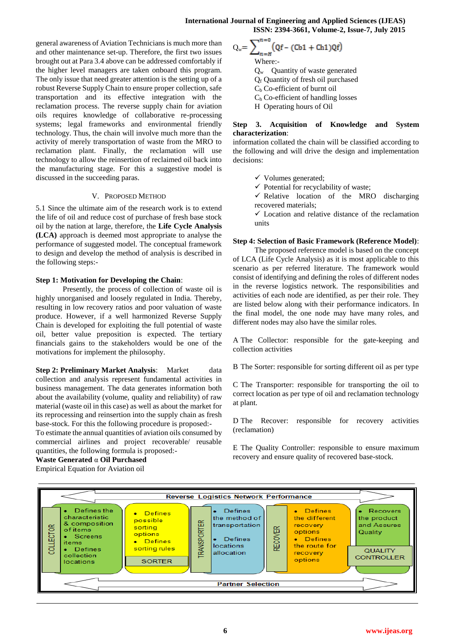general awareness of Aviation Technicians is much more than and other maintenance set-up. Therefore, the first two issues brought out at Para 3.4 above can be addressed comfortably if the higher level managers are taken onboard this program. The only issue that need greater attention is the setting up of a robust Reverse Supply Chain to ensure proper collection, safe transportation and its effective integration with the reclamation process. The reverse supply chain for aviation oils requires knowledge of collaborative re-processing systems; legal frameworks and environmental friendly technology. Thus, the chain will involve much more than the activity of merely transportation of waste from the MRO to reclamation plant. Finally, the reclamation will use technology to allow the reinsertion of reclaimed oil back into the manufacturing stage. For this a suggestive model is discussed in the succeeding paras.

## V. PROPOSED METHOD

5.1 Since the ultimate aim of the research work is to extend the life of oil and reduce cost of purchase of fresh base stock oil by the nation at large, therefore, the **Life Cycle Analysis (LCA)** approach is deemed most appropriate to analyse the performance of suggested model. The conceptual framework to design and develop the method of analysis is described in the following steps:-

## **Step 1: Motivation for Developing the Chain**:

Presently, the process of collection of waste oil is highly unorganised and loosely regulated in India. Thereby, resulting in low recovery ratios and poor valuation of waste produce. However, if a well harmonized Reverse Supply Chain is developed for exploiting the full potential of waste oil, better value preposition is expected. The tertiary financials gains to the stakeholders would be one of the motivations for implement the philosophy.

**Step 2: Preliminary Market Analysis:** Market data collection and analysis represent fundamental activities in business management. The data generates information both about the availability (volume, quality and reliability) of raw material (waste oil in this case) as well as about the market for its reprocessing and reinsertion into the supply chain as fresh base-stock. For this the following procedure is proposed:-

To estimate the annual quantities of aviation oils consumed by commercial airlines and project recoverable/ reusable quantities, the following formula is proposed:-

#### **Waste Generated** α **Oil Purchased**  Empirical Equation for Aviation oil

 $Q_w = \sum_{n=H}^{n=v} (Qf - (Cb1 + Ch1)Qf)$ Where:  $Q_w$  Quantity of waste generated Q<sup>f</sup> Quantity of fresh oil purchased  $C_b$  Co-efficient of burnt oil

 $C<sub>h</sub>$  Co-efficient of handling losses

H Operating hours of Oil

# **Step 3. Acquisition of Knowledge and System characterization:**

information collated the chain will be classified according to the following and will drive the design and implementation decisions:

- $\checkmark$  Volumes generated;
- $\checkmark$  Potential for recyclability of waste;
- $\checkmark$  Relative location of the MRO discharging recovered materials;
- $\checkmark$  Location and relative distance of the reclamation units

# **Step 4: Selection of Basic Framework (Reference Model)**:

The proposed reference model is based on the concept of LCA (Life Cycle Analysis) as it is most applicable to this scenario as per referred literature. The framework would consist of identifying and defining the roles of different nodes in the reverse logistics network. The responsibilities and activities of each node are identified, as per their role. They are listed below along with their performance indicators. In the final model, the one node may have many roles, and different nodes may also have the similar roles.

A The Collector: responsible for the gate-keeping and collection activities

B The Sorter: responsible for sorting different oil as per type

C The Transporter: responsible for transporting the oil to correct location as per type of oil and reclamation technology at plant.

D The Recover: responsible for recovery activities (reclamation)

E The Quality Controller: responsible to ensure maximum recovery and ensure quality of recovered base-stock.

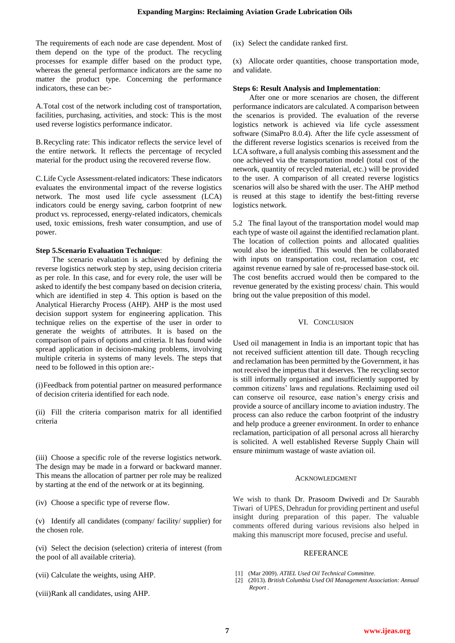The requirements of each node are case dependent. Most of them depend on the type of the product. The recycling processes for example differ based on the product type, whereas the general performance indicators are the same no matter the product type. Concerning the performance indicators, these can be:-

A.Total cost of the network including cost of transportation, facilities, purchasing, activities, and stock: This is the most used reverse logistics performance indicator.

B.Recycling rate: This indicator reflects the service level of the entire network. It reflects the percentage of recycled material for the product using the recovered reverse flow.

C.Life Cycle Assessment-related indicators: These indicators evaluates the environmental impact of the reverse logistics network. The most used life cycle assessment (LCA) indicators could be energy saving, carbon footprint of new product vs. reprocessed, energy-related indicators, chemicals used, toxic emissions, fresh water consumption, and use of power.

#### **Step 5.Scenario Evaluation Technique**:

The scenario evaluation is achieved by defining the reverse logistics network step by step, using decision criteria as per role. In this case, and for every role, the user will be asked to identify the best company based on decision criteria, which are identified in step 4. This option is based on the Analytical Hierarchy Process (AHP). AHP is the most used decision support system for engineering application. This technique relies on the expertise of the user in order to generate the weights of attributes. It is based on the comparison of pairs of options and criteria. It has found wide spread application in decision-making problems, involving multiple criteria in systems of many levels. The steps that need to be followed in this option are:-

(i)Feedback from potential partner on measured performance of decision criteria identified for each node.

(ii) Fill the criteria comparison matrix for all identified criteria

(iii) Choose a specific role of the reverse logistics network. The design may be made in a forward or backward manner. This means the allocation of partner per role may be realized by starting at the end of the network or at its beginning.

(iv) Choose a specific type of reverse flow.

(v) Identify all candidates (company/ facility/ supplier) for the chosen role.

(vi) Select the decision (selection) criteria of interest (from the pool of all available criteria).

(vii) Calculate the weights, using AHP.

(viii)Rank all candidates, using AHP.

(ix) Select the candidate ranked first.

(x) Allocate order quantities, choose transportation mode, and validate.

#### **Steps 6: Result Analysis and Implementation**:

After one or more scenarios are chosen, the different performance indicators are calculated. A comparison between the scenarios is provided. The evaluation of the reverse logistics network is achieved via life cycle assessment software (SimaPro 8.0.4). After the life cycle assessment of the different reverse logistics scenarios is received from the LCA software, a full analysis combing this assessment and the one achieved via the transportation model (total cost of the network, quantity of recycled material, etc.) will be provided to the user. A comparison of all created reverse logistics scenarios will also be shared with the user. The AHP method is reused at this stage to identify the best-fitting reverse logistics network.

5.2 The final layout of the transportation model would map each type of waste oil against the identified reclamation plant. The location of collection points and allocated qualities would also be identified. This would then be collaborated with inputs on transportation cost, reclamation cost, etc. against revenue earned by sale of re-processed base-stock oil. The cost benefits accrued would then be compared to the revenue generated by the existing process/ chain. This would bring out the value preposition of this model.

## VI. CONCLUSION

Used oil management in India is an important topic that has not received sufficient attention till date. Though recycling and reclamation has been permitted by the Government, it has not received the impetus that it deserves. The recycling sector is still informally organised and insufficiently supported by common citizens' laws and regulations. Reclaiming used oil can conserve oil resource, ease nation's energy crisis and provide a source of ancillary income to aviation industry. The process can also reduce the carbon footprint of the industry and help produce a greener environment. In order to enhance reclamation, participation of all personal across all hierarchy is solicited. A well established Reverse Supply Chain will ensure minimum wastage of waste aviation oil.

#### ACKNOWLEDGMENT

We wish to thank Dr. Prasoom Dwivedi and Dr Saurabh Tiwari of UPES, Dehradun for providing pertinent and useful insight during preparation of this paper. The valuable comments offered during various revisions also helped in making this manuscript more focused, precise and useful.

#### REFERANCE

- [1] (Mar 2009). *ATIEL Used Oil Technical Committee.*
- [2] (2013). *British Columbia Used Oil Management Association: Annual Report .*